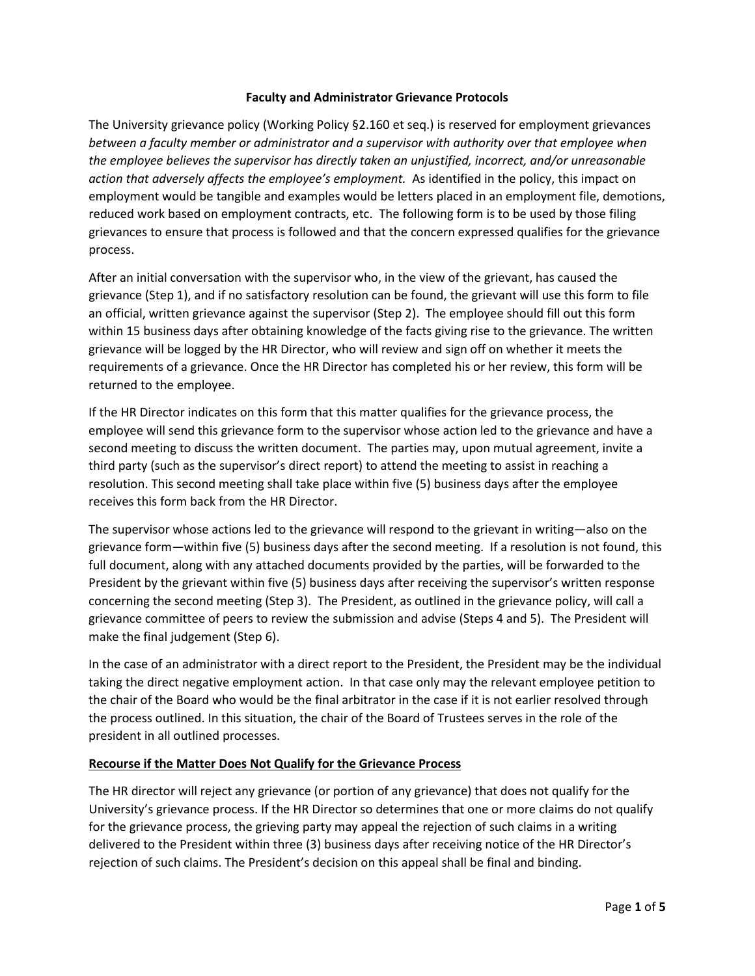#### **Faculty and Administrator Grievance Protocols**

The University grievance policy (Working Policy §2.160 et seq.) is reserved for employment grievances *between a faculty member or administrator and a supervisor with authority over that employee when the employee believes the supervisor has directly taken an unjustified, incorrect, and/or unreasonable action that adversely affects the employee's employment.* As identified in the policy, this impact on employment would be tangible and examples would be letters placed in an employment file, demotions, reduced work based on employment contracts, etc. The following form is to be used by those filing grievances to ensure that process is followed and that the concern expressed qualifies for the grievance process.

After an initial conversation with the supervisor who, in the view of the grievant, has caused the grievance (Step 1), and if no satisfactory resolution can be found, the grievant will use this form to file an official, written grievance against the supervisor (Step 2). The employee should fill out this form within 15 business days after obtaining knowledge of the facts giving rise to the grievance. The written grievance will be logged by the HR Director, who will review and sign off on whether it meets the requirements of a grievance. Once the HR Director has completed his or her review, this form will be returned to the employee.

If the HR Director indicates on this form that this matter qualifies for the grievance process, the employee will send this grievance form to the supervisor whose action led to the grievance and have a second meeting to discuss the written document. The parties may, upon mutual agreement, invite a third party (such as the supervisor's direct report) to attend the meeting to assist in reaching a resolution. This second meeting shall take place within five (5) business days after the employee receives this form back from the HR Director.

The supervisor whose actions led to the grievance will respond to the grievant in writing—also on the grievance form—within five (5) business days after the second meeting. If a resolution is not found, this full document, along with any attached documents provided by the parties, will be forwarded to the President by the grievant within five (5) business days after receiving the supervisor's written response concerning the second meeting (Step 3). The President, as outlined in the grievance policy, will call a grievance committee of peers to review the submission and advise (Steps 4 and 5). The President will make the final judgement (Step 6).

In the case of an administrator with a direct report to the President, the President may be the individual taking the direct negative employment action. In that case only may the relevant employee petition to the chair of the Board who would be the final arbitrator in the case if it is not earlier resolved through the process outlined. In this situation, the chair of the Board of Trustees serves in the role of the president in all outlined processes.

# **Recourse if the Matter Does Not Qualify for the Grievance Process**

The HR director will reject any grievance (or portion of any grievance) that does not qualify for the University's grievance process. If the HR Director so determines that one or more claims do not qualify for the grievance process, the grieving party may appeal the rejection of such claims in a writing delivered to the President within three (3) business days after receiving notice of the HR Director's rejection of such claims. The President's decision on this appeal shall be final and binding.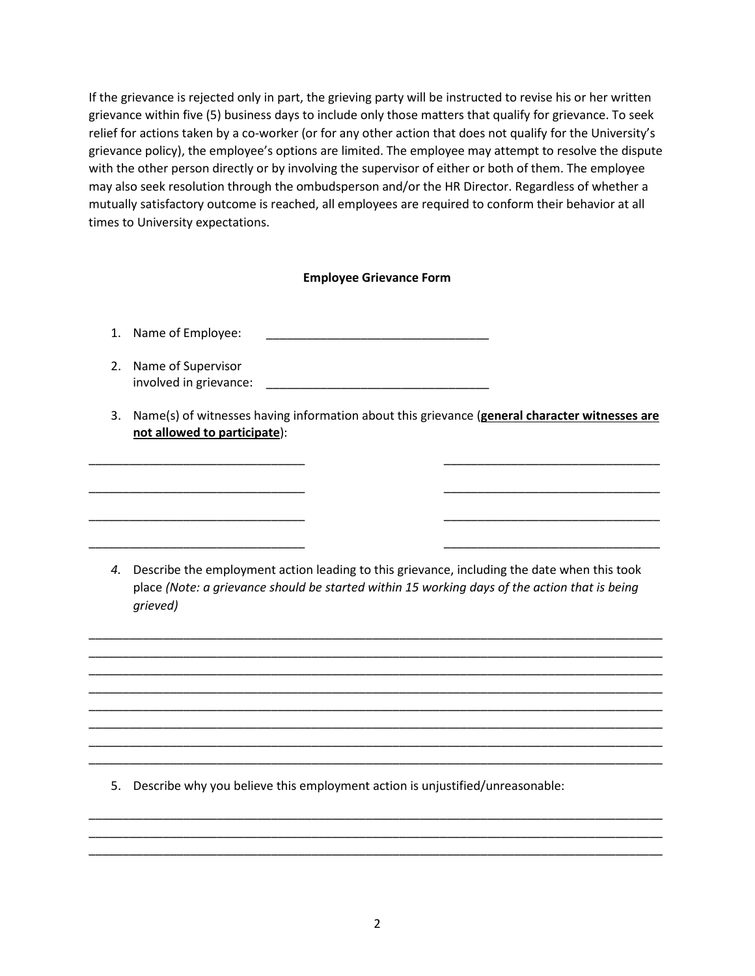If the grievance is rejected only in part, the grieving party will be instructed to revise his or her written grievance within five (5) business days to include only those matters that qualify for grievance. To seek relief for actions taken by a co-worker (or for any other action that does not qualify for the University's grievance policy), the employee's options are limited. The employee may attempt to resolve the dispute with the other person directly or by involving the supervisor of either or both of them. The employee may also seek resolution through the ombudsperson and/or the HR Director. Regardless of whether a mutually satisfactory outcome is reached, all employees are required to conform their behavior at all times to University expectations.

# **Employee Grievance Form**

1. Name of Employee:

- 2. Name of Supervisor involved in grievance: \_\_\_\_\_\_\_\_\_\_\_\_\_\_\_\_\_\_\_\_\_\_\_\_\_\_\_\_\_\_\_\_\_
- 3. Name(s) of witnesses having information about this grievance (**general character witnesses are not allowed to participate**):

\_\_\_\_\_\_\_\_\_\_\_\_\_\_\_\_\_\_\_\_\_\_\_\_\_\_\_\_\_\_\_\_ \_\_\_\_\_\_\_\_\_\_\_\_\_\_\_\_\_\_\_\_\_\_\_\_\_\_\_\_\_\_\_\_

\_\_\_\_\_\_\_\_\_\_\_\_\_\_\_\_\_\_\_\_\_\_\_\_\_\_\_\_\_\_\_\_ \_\_\_\_\_\_\_\_\_\_\_\_\_\_\_\_\_\_\_\_\_\_\_\_\_\_\_\_\_\_\_\_

\_\_\_\_\_\_\_\_\_\_\_\_\_\_\_\_\_\_\_\_\_\_\_\_\_\_\_\_\_\_\_\_ \_\_\_\_\_\_\_\_\_\_\_\_\_\_\_\_\_\_\_\_\_\_\_\_\_\_\_\_\_\_\_\_

\_\_\_\_\_\_\_\_\_\_\_\_\_\_\_\_\_\_\_\_\_\_\_\_\_\_\_\_\_\_\_\_ \_\_\_\_\_\_\_\_\_\_\_\_\_\_\_\_\_\_\_\_\_\_\_\_\_\_\_\_\_\_\_\_

*4.* Describe the employment action leading to this grievance, including the date when this took place *(Note: a grievance should be started within 15 working days of the action that is being grieved)*

\_\_\_\_\_\_\_\_\_\_\_\_\_\_\_\_\_\_\_\_\_\_\_\_\_\_\_\_\_\_\_\_\_\_\_\_\_\_\_\_\_\_\_\_\_\_\_\_\_\_\_\_\_\_\_\_\_\_\_\_\_\_\_\_\_\_\_\_\_\_\_\_\_\_\_\_\_\_\_\_\_\_\_\_\_ \_\_\_\_\_\_\_\_\_\_\_\_\_\_\_\_\_\_\_\_\_\_\_\_\_\_\_\_\_\_\_\_\_\_\_\_\_\_\_\_\_\_\_\_\_\_\_\_\_\_\_\_\_\_\_\_\_\_\_\_\_\_\_\_\_\_\_\_\_\_\_\_\_\_\_\_\_\_\_\_\_\_\_\_\_ \_\_\_\_\_\_\_\_\_\_\_\_\_\_\_\_\_\_\_\_\_\_\_\_\_\_\_\_\_\_\_\_\_\_\_\_\_\_\_\_\_\_\_\_\_\_\_\_\_\_\_\_\_\_\_\_\_\_\_\_\_\_\_\_\_\_\_\_\_\_\_\_\_\_\_\_\_\_\_\_\_\_\_\_\_ \_\_\_\_\_\_\_\_\_\_\_\_\_\_\_\_\_\_\_\_\_\_\_\_\_\_\_\_\_\_\_\_\_\_\_\_\_\_\_\_\_\_\_\_\_\_\_\_\_\_\_\_\_\_\_\_\_\_\_\_\_\_\_\_\_\_\_\_\_\_\_\_\_\_\_\_\_\_\_\_\_\_\_\_\_ \_\_\_\_\_\_\_\_\_\_\_\_\_\_\_\_\_\_\_\_\_\_\_\_\_\_\_\_\_\_\_\_\_\_\_\_\_\_\_\_\_\_\_\_\_\_\_\_\_\_\_\_\_\_\_\_\_\_\_\_\_\_\_\_\_\_\_\_\_\_\_\_\_\_\_\_\_\_\_\_\_\_\_\_\_ \_\_\_\_\_\_\_\_\_\_\_\_\_\_\_\_\_\_\_\_\_\_\_\_\_\_\_\_\_\_\_\_\_\_\_\_\_\_\_\_\_\_\_\_\_\_\_\_\_\_\_\_\_\_\_\_\_\_\_\_\_\_\_\_\_\_\_\_\_\_\_\_\_\_\_\_\_\_\_\_\_\_\_\_\_ \_\_\_\_\_\_\_\_\_\_\_\_\_\_\_\_\_\_\_\_\_\_\_\_\_\_\_\_\_\_\_\_\_\_\_\_\_\_\_\_\_\_\_\_\_\_\_\_\_\_\_\_\_\_\_\_\_\_\_\_\_\_\_\_\_\_\_\_\_\_\_\_\_\_\_\_\_\_\_\_\_\_\_\_\_ \_\_\_\_\_\_\_\_\_\_\_\_\_\_\_\_\_\_\_\_\_\_\_\_\_\_\_\_\_\_\_\_\_\_\_\_\_\_\_\_\_\_\_\_\_\_\_\_\_\_\_\_\_\_\_\_\_\_\_\_\_\_\_\_\_\_\_\_\_\_\_\_\_\_\_\_\_\_\_\_\_\_\_\_\_

5. Describe why you believe this employment action is unjustified/unreasonable:

\_\_\_\_\_\_\_\_\_\_\_\_\_\_\_\_\_\_\_\_\_\_\_\_\_\_\_\_\_\_\_\_\_\_\_\_\_\_\_\_\_\_\_\_\_\_\_\_\_\_\_\_\_\_\_\_\_\_\_\_\_\_\_\_\_\_\_\_\_\_\_\_\_\_\_\_\_\_\_\_\_\_\_\_\_ \_\_\_\_\_\_\_\_\_\_\_\_\_\_\_\_\_\_\_\_\_\_\_\_\_\_\_\_\_\_\_\_\_\_\_\_\_\_\_\_\_\_\_\_\_\_\_\_\_\_\_\_\_\_\_\_\_\_\_\_\_\_\_\_\_\_\_\_\_\_\_\_\_\_\_\_\_\_\_\_\_\_\_\_\_ \_\_\_\_\_\_\_\_\_\_\_\_\_\_\_\_\_\_\_\_\_\_\_\_\_\_\_\_\_\_\_\_\_\_\_\_\_\_\_\_\_\_\_\_\_\_\_\_\_\_\_\_\_\_\_\_\_\_\_\_\_\_\_\_\_\_\_\_\_\_\_\_\_\_\_\_\_\_\_\_\_\_\_\_\_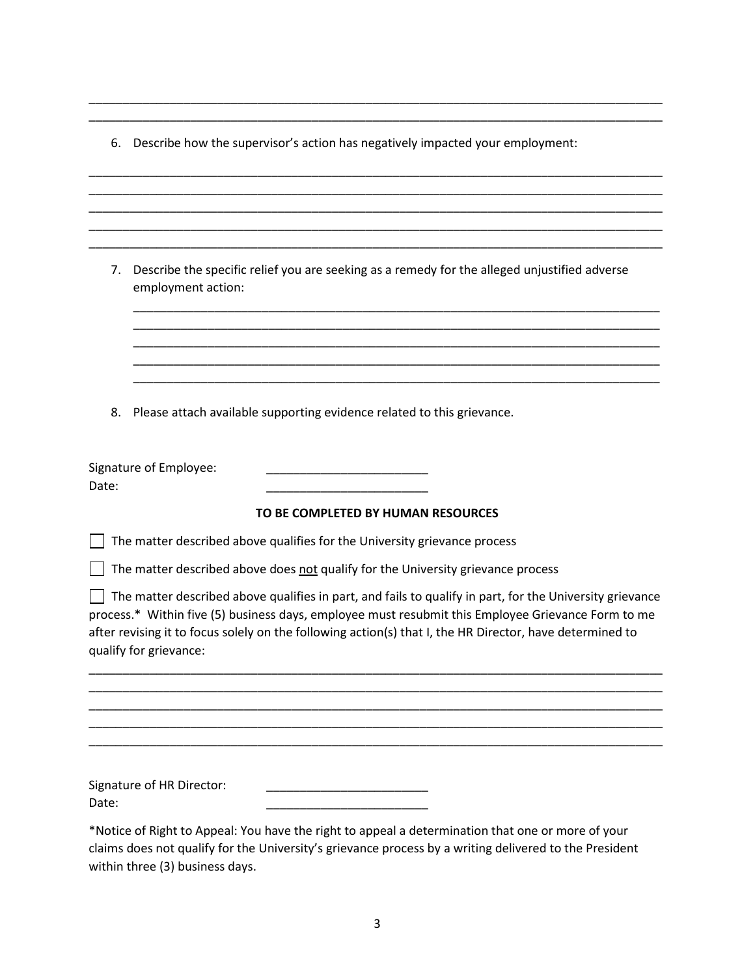6. Describe how the supervisor's action has negatively impacted your employment:

\_\_\_\_\_\_\_\_\_\_\_\_\_\_\_\_\_\_\_\_\_\_\_\_\_\_\_\_\_\_\_\_\_\_\_\_\_\_\_\_\_\_\_\_\_\_\_\_\_\_\_\_\_\_\_\_\_\_\_\_\_\_\_\_\_\_\_\_\_\_\_\_\_\_\_\_\_\_\_\_\_\_\_\_\_ \_\_\_\_\_\_\_\_\_\_\_\_\_\_\_\_\_\_\_\_\_\_\_\_\_\_\_\_\_\_\_\_\_\_\_\_\_\_\_\_\_\_\_\_\_\_\_\_\_\_\_\_\_\_\_\_\_\_\_\_\_\_\_\_\_\_\_\_\_\_\_\_\_\_\_\_\_\_\_\_\_\_\_\_\_

\_\_\_\_\_\_\_\_\_\_\_\_\_\_\_\_\_\_\_\_\_\_\_\_\_\_\_\_\_\_\_\_\_\_\_\_\_\_\_\_\_\_\_\_\_\_\_\_\_\_\_\_\_\_\_\_\_\_\_\_\_\_\_\_\_\_\_\_\_\_\_\_\_\_\_\_\_\_\_\_\_\_\_\_\_

\_\_\_\_\_\_\_\_\_\_\_\_\_\_\_\_\_\_\_\_\_\_\_\_\_\_\_\_\_\_\_\_\_\_\_\_\_\_\_\_\_\_\_\_\_\_\_\_\_\_\_\_\_\_\_\_\_\_\_\_\_\_\_\_\_\_\_\_\_\_\_\_\_\_\_\_\_\_\_\_\_\_\_\_\_

\_\_\_\_\_\_\_\_\_\_\_\_\_\_\_\_\_\_\_\_\_\_\_\_\_\_\_\_\_\_\_\_\_\_\_\_\_\_\_\_\_\_\_\_\_\_\_\_\_\_\_\_\_\_\_\_\_\_\_\_\_\_\_\_\_\_\_\_\_\_\_\_\_\_\_\_\_\_\_\_\_\_\_\_\_

\_\_\_\_\_\_\_\_\_\_\_\_\_\_\_\_\_\_\_\_\_\_\_\_\_\_\_\_\_\_\_\_\_\_\_\_\_\_\_\_\_\_\_\_\_\_\_\_\_\_\_\_\_\_\_\_\_\_\_\_\_\_\_\_\_\_\_\_\_\_\_\_\_\_\_\_\_\_\_\_\_\_\_\_\_

| 7.    | Describe the specific relief you are seeking as a remedy for the alleged unjustified adverse<br>employment action:                                                                                                                                                                                                                                   |
|-------|------------------------------------------------------------------------------------------------------------------------------------------------------------------------------------------------------------------------------------------------------------------------------------------------------------------------------------------------------|
|       |                                                                                                                                                                                                                                                                                                                                                      |
|       |                                                                                                                                                                                                                                                                                                                                                      |
|       |                                                                                                                                                                                                                                                                                                                                                      |
| 8.    | Please attach available supporting evidence related to this grievance.                                                                                                                                                                                                                                                                               |
| Date: | Signature of Employee:                                                                                                                                                                                                                                                                                                                               |
|       | TO BE COMPLETED BY HUMAN RESOURCES                                                                                                                                                                                                                                                                                                                   |
|       | The matter described above qualifies for the University grievance process                                                                                                                                                                                                                                                                            |
|       | The matter described above does not qualify for the University grievance process                                                                                                                                                                                                                                                                     |
|       | The matter described above qualifies in part, and fails to qualify in part, for the University grievance<br>process.* Within five (5) business days, employee must resubmit this Employee Grievance Form to me<br>after revising it to focus solely on the following action(s) that I, the HR Director, have determined to<br>qualify for grievance: |
|       |                                                                                                                                                                                                                                                                                                                                                      |
|       |                                                                                                                                                                                                                                                                                                                                                      |
|       |                                                                                                                                                                                                                                                                                                                                                      |
| Date: | Signature of HR Director:                                                                                                                                                                                                                                                                                                                            |
|       | *Notice of Right to Appeal: You have the right to appeal a determination that one or more of your<br>claims does not qualify for the University's grievance process by a writing delivered to the President                                                                                                                                          |

within three (3) business days.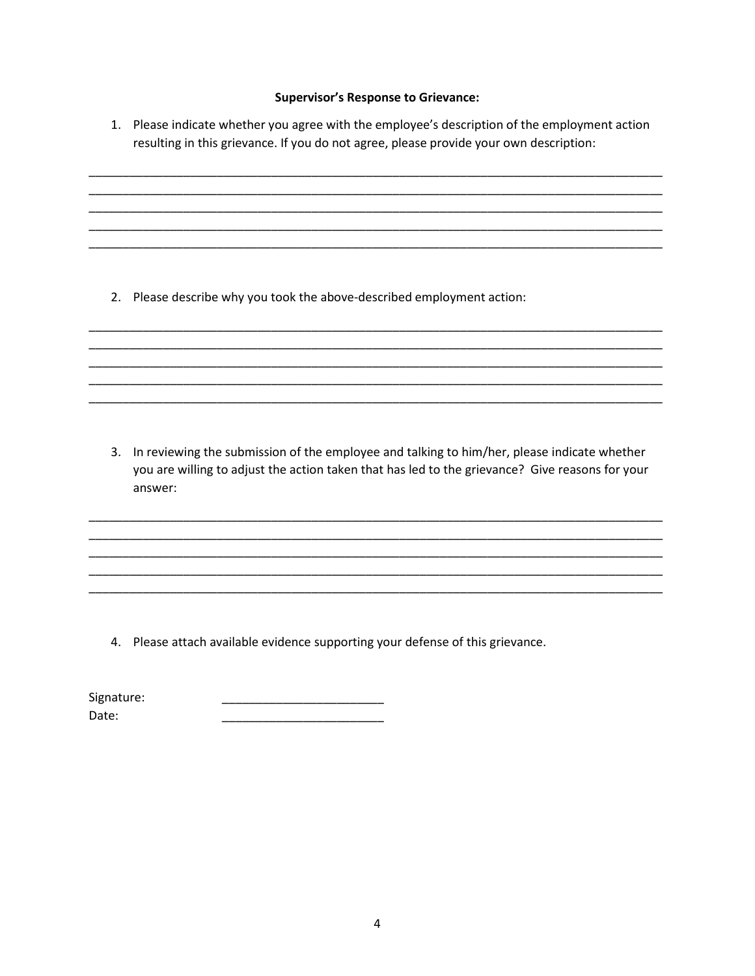#### **Supervisor's Response to Grievance:**

1. Please indicate whether you agree with the employee's description of the employment action resulting in this grievance. If you do not agree, please provide your own description:

2. Please describe why you took the above-described employment action:

3. In reviewing the submission of the employee and talking to him/her, please indicate whether you are willing to adjust the action taken that has led to the grievance? Give reasons for your answer:

4. Please attach available evidence supporting your defense of this grievance.

Signature: Date: